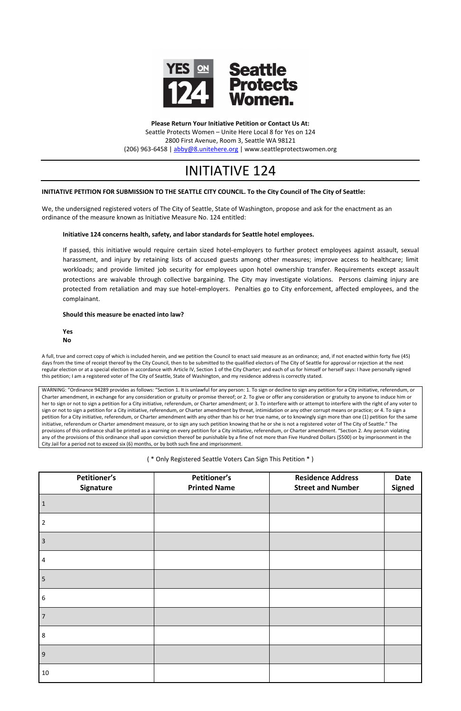

**Please Return Your Initiative Petition or Contact Us At:** Seattle Protects Women – Unite Here Local 8 for Yes on 124 2800 First Avenue, Room 3, Seattle WA 98121 (206) 963-6458 [| abby@8.unitehere.org](mailto:abby@8.unitehere.org) | www.seattleprotectswomen.org

# INITIATIVE 124

## **INITIATIVE PETITION FOR SUBMISSION TO THE SEATTLE CITY COUNCIL. To the City Council of The City of Seattle:**

We, the undersigned registered voters of The City of Seattle, State of Washington, propose and ask for the enactment as an ordinance of the measure known as Initiative Measure No. 124 entitled:

## **Initiative 124 concerns health, safety, and labor standards for Seattle hotel employees.**

If passed, this initiative would require certain sized hotel-employers to further protect employees against assault, sexual harassment, and injury by retaining lists of accused guests among other measures; improve access to healthcare; limit workloads; and provide limited job security for employees upon hotel ownership transfer. Requirements except assault protections are waivable through collective bargaining. The City may investigate violations. Persons claiming injury are protected from retaliation and may sue hotel-employers. Penalties go to City enforcement, affected employees, and the complainant.

## **Should this measure be enacted into law?**

**Yes**

**No**

A full, true and correct copy of which is included herein, and we petition the Council to enact said measure as an ordinance; and, if not enacted within forty five (45) days from the time of receipt thereof by the City Council, then to be submitted to the qualified electors of The City of Seattle for approval or rejection at the next regular election or at a special election in accordance with Article IV, Section 1 of the City Charter; and each of us for himself or herself says: I have personally signed this petition; I am a registered voter of The City of Seattle, State of Washington, and my residence address is correctly stated.

WARNING: "Ordinance 94289 provides as follows: "Section 1. It is unlawful for any person: 1. To sign or decline to sign any petition for a City initiative, referendum, or Charter amendment, in exchange for any consideration or gratuity or promise thereof; or 2. To give or offer any consideration or gratuity to anyone to induce him or her to sign or not to sign a petition for a City initiative, referendum, or Charter amendment; or 3. To interfere with or attempt to interfere with the right of any voter to sign or not to sign a petition for a City initiative, referendum, or Charter amendment by threat, intimidation or any other corrupt means or practice; or 4. To sign a petition for a City initiative, referendum, or Charter amendment with any other than his or her true name, or to knowingly sign more than one (1) petition for the same initiative, referendum or Charter amendment measure, or to sign any such petition knowing that he or she is not a registered voter of The City of Seattle." The provisions of this ordinance shall be printed as a warning on every petition for a City initiative, referendum, or Charter amendment. "Section 2. Any person violating any of the provisions of this ordinance shall upon conviction thereof be punishable by a fine of not more than Five Hundred Dollars (\$500) or by imprisonment in the City Jail for a period not to exceed six (6) months, or by both such fine and imprisonment.

( \* Only Registered Seattle Voters Can Sign This Petition \* )

| <b>Petitioner's</b><br>Signature | <b>Petitioner's</b><br><b>Printed Name</b> | <b>Residence Address</b><br><b>Street and Number</b> | <b>Date</b><br><b>Signed</b> |
|----------------------------------|--------------------------------------------|------------------------------------------------------|------------------------------|
| $\mathbf{1}$                     |                                            |                                                      |                              |
| $\overline{2}$                   |                                            |                                                      |                              |
| $\overline{3}$                   |                                            |                                                      |                              |
| 4                                |                                            |                                                      |                              |
| 5                                |                                            |                                                      |                              |
| 6                                |                                            |                                                      |                              |
| $\overline{7}$                   |                                            |                                                      |                              |
| $\,8\,$                          |                                            |                                                      |                              |
| 9                                |                                            |                                                      |                              |
| $10\,$                           |                                            |                                                      |                              |